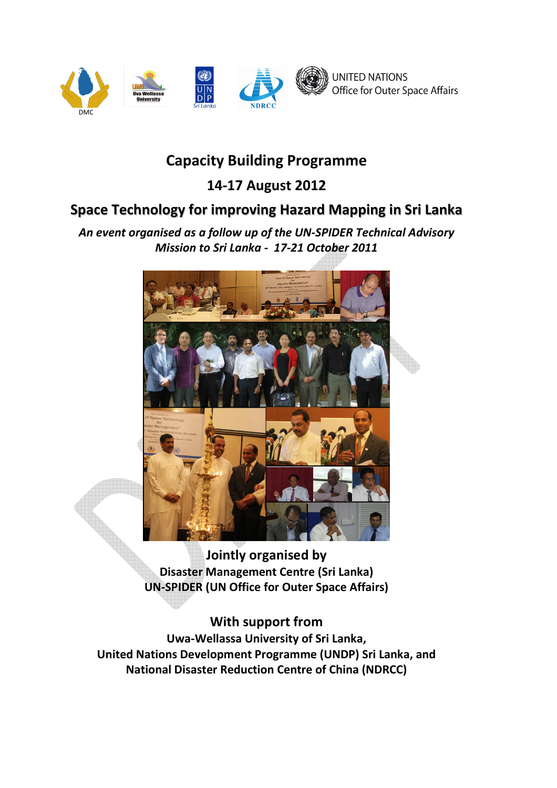

# Capacity Building Programme

# 14-17 August 2012

# Space Technology for improving Hazard Mapping in Sri Lanka

An event organised as a follow up of the UN-SPIDER Technical Advisory Mission to Sri Lanka - 17-21 October 2011



Jointly organised by Disaster Management Centre (Sri Lanka) UN-SPIDER (UN Office for Outer Space Affairs)

# With support from

Uwa-Wellassa University of Sri Lanka, United Nations Development Programme (UNDP) Sri Lanka, and National Disaster Reduction Centre of China (NDRCC)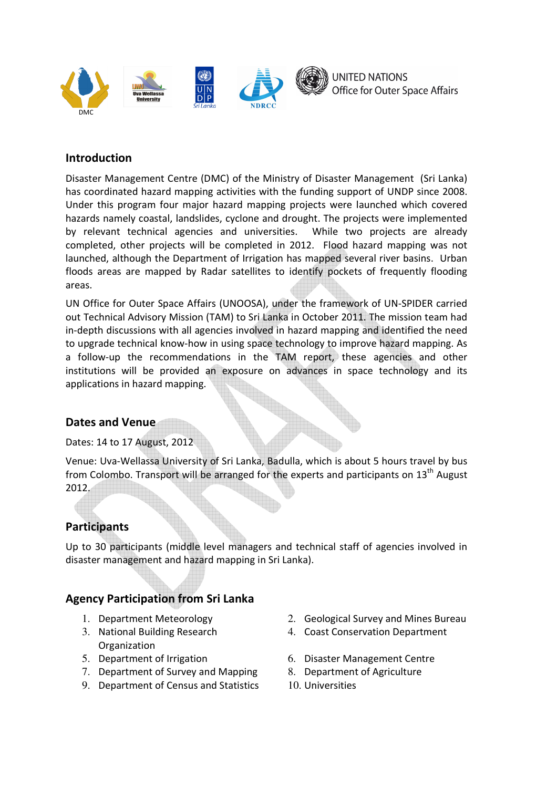

#### Introduction

Disaster Management Centre (DMC) of the Ministry of Disaster Management (Sri Lanka) has coordinated hazard mapping activities with the funding support of UNDP since 2008. Under this program four major hazard mapping projects were launched which covered hazards namely coastal, landslides, cyclone and drought. The projects were implemented by relevant technical agencies and universities. While two projects are already completed, other projects will be completed in 2012. Flood hazard mapping was not launched, although the Department of Irrigation has mapped several river basins. Urban floods areas are mapped by Radar satellites to identify pockets of frequently flooding areas.

UN Office for Outer Space Affairs (UNOOSA), under the framework of UN-SPIDER carried out Technical Advisory Mission (TAM) to Sri Lanka in October 2011. The mission team had in-depth discussions with all agencies involved in hazard mapping and identified the need to upgrade technical know-how in using space technology to improve hazard mapping. As a follow-up the recommendations in the TAM report, these agencies and other institutions will be provided an exposure on advances in space technology and its applications in hazard mapping.

## Dates and Venue

Dates: 14 to 17 August, 2012

Venue: Uva-Wellassa University of Sri Lanka, Badulla, which is about 5 hours travel by bus from Colombo. Transport will be arranged for the experts and participants on  $13<sup>th</sup>$  August 2012.

#### Participants

Up to 30 participants (middle level managers and technical staff of agencies involved in disaster management and hazard mapping in Sri Lanka).

#### Agency Participation from Sri Lanka

- 
- 3. National Building Research **Organization**
- 
- 7. Department of Survey and Mapping 8. Department of Agriculture
- 9. Department of Census and Statistics 10. Universities
- 1. Department Meteorology 2. Geological Survey and Mines Bureau
	- 4. Coast Conservation Department
- 5. Department of Irrigation 6. Disaster Management Centre
	-
	-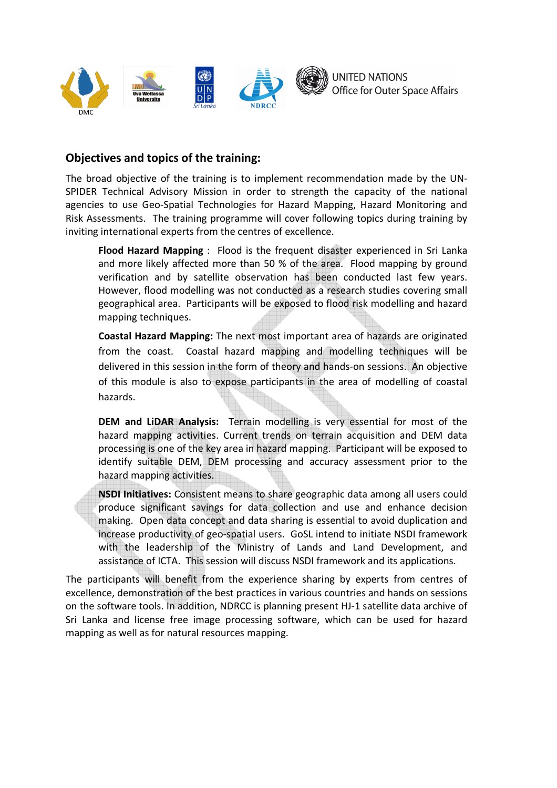

#### Objectives and topics of the training:

The broad objective of the training is to implement recommendation made by the UN-SPIDER Technical Advisory Mission in order to strength the capacity of the national agencies to use Geo-Spatial Technologies for Hazard Mapping, Hazard Monitoring and Risk Assessments. The training programme will cover following topics during training by inviting international experts from the centres of excellence.

Flood Hazard Mapping : Flood is the frequent disaster experienced in Sri Lanka and more likely affected more than 50 % of the area. Flood mapping by ground verification and by satellite observation has been conducted last few years. However, flood modelling was not conducted as a research studies covering small geographical area. Participants will be exposed to flood risk modelling and hazard mapping techniques.

Coastal Hazard Mapping: The next most important area of hazards are originated from the coast. Coastal hazard mapping and modelling techniques will be delivered in this session in the form of theory and hands-on sessions. An objective of this module is also to expose participants in the area of modelling of coastal hazards.

DEM and LiDAR Analysis: Terrain modelling is very essential for most of the hazard mapping activities. Current trends on terrain acquisition and DEM data processing is one of the key area in hazard mapping. Participant will be exposed to identify suitable DEM, DEM processing and accuracy assessment prior to the hazard mapping activities.

NSDI Initiatives: Consistent means to share geographic data among all users could produce significant savings for data collection and use and enhance decision making. Open data concept and data sharing is essential to avoid duplication and increase productivity of geo-spatial users. GoSL intend to initiate NSDI framework with the leadership of the Ministry of Lands and Land Development, and assistance of ICTA. This session will discuss NSDI framework and its applications.

The participants will benefit from the experience sharing by experts from centres of excellence, demonstration of the best practices in various countries and hands on sessions on the software tools. In addition, NDRCC is planning present HJ-1 satellite data archive of Sri Lanka and license free image processing software, which can be used for hazard mapping as well as for natural resources mapping.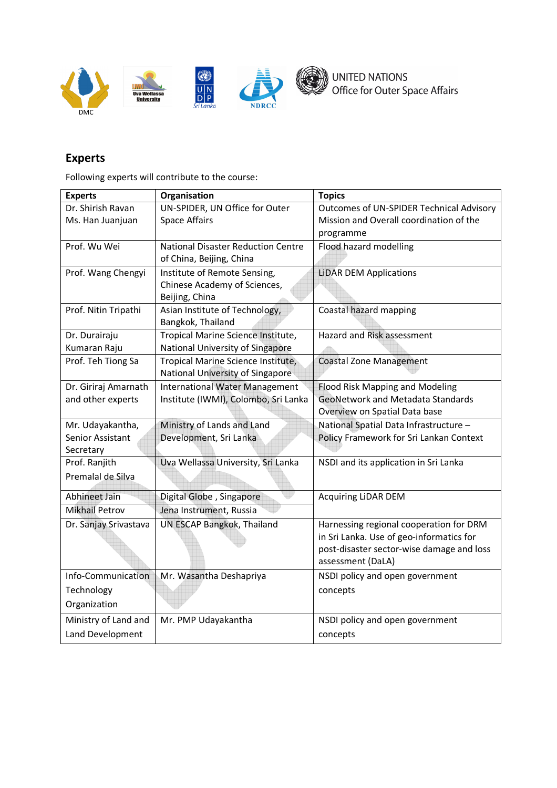

## Experts

Following experts will contribute to the course:

| <b>Experts</b>        | Organisation                                                                   | <b>Topics</b>                                        |
|-----------------------|--------------------------------------------------------------------------------|------------------------------------------------------|
| Dr. Shirish Ravan     | UN-SPIDER, UN Office for Outer                                                 | Outcomes of UN-SPIDER Technical Advisory             |
| Ms. Han Juanjuan      | <b>Space Affairs</b>                                                           | Mission and Overall coordination of the<br>programme |
| Prof. Wu Wei          | <b>National Disaster Reduction Centre</b><br>of China, Beijing, China          | Flood hazard modelling                               |
| Prof. Wang Chengyi    | Institute of Remote Sensing,<br>Chinese Academy of Sciences,<br>Beijing, China | <b>LiDAR DEM Applications</b>                        |
| Prof. Nitin Tripathi  | Asian Institute of Technology,<br>Bangkok, Thailand                            | Coastal hazard mapping                               |
| Dr. Durairaju         | Tropical Marine Science Institute,                                             | Hazard and Risk assessment                           |
| Kumaran Raju          | National University of Singapore                                               |                                                      |
| Prof. Teh Tiong Sa    | Tropical Marine Science Institute,<br>National University of Singapore         | <b>Coastal Zone Management</b>                       |
| Dr. Giriraj Amarnath  | <b>International Water Management</b>                                          | Flood Risk Mapping and Modeling                      |
| and other experts     | Institute (IWMI), Colombo, Sri Lanka                                           | <b>GeoNetwork and Metadata Standards</b>             |
|                       |                                                                                | Overview on Spatial Data base                        |
| Mr. Udayakantha,      | Ministry of Lands and Land                                                     | National Spatial Data Infrastructure -               |
| Senior Assistant      | Development, Sri Lanka                                                         | Policy Framework for Sri Lankan Context              |
| Secretary             |                                                                                |                                                      |
| Prof. Ranjith         | Uva Wellassa University, Sri Lanka                                             | NSDI and its application in Sri Lanka                |
| Premalal de Silva     |                                                                                |                                                      |
| Abhineet Jain         | Digital Globe, Singapore                                                       | <b>Acquiring LiDAR DEM</b>                           |
| <b>Mikhail Petrov</b> | Jena Instrument, Russia                                                        |                                                      |
| Dr. Sanjay Srivastava | UN ESCAP Bangkok, Thailand                                                     | Harnessing regional cooperation for DRM              |
|                       |                                                                                | in Sri Lanka. Use of geo-informatics for             |
|                       |                                                                                | post-disaster sector-wise damage and loss            |
|                       |                                                                                | assessment (DaLA)                                    |
| Info-Communication    | Mr. Wasantha Deshapriya                                                        | NSDI policy and open government                      |
| Technology            |                                                                                | concepts                                             |
| Organization          |                                                                                |                                                      |
| Ministry of Land and  | Mr. PMP Udayakantha                                                            | NSDI policy and open government                      |
| Land Development      |                                                                                | concepts                                             |